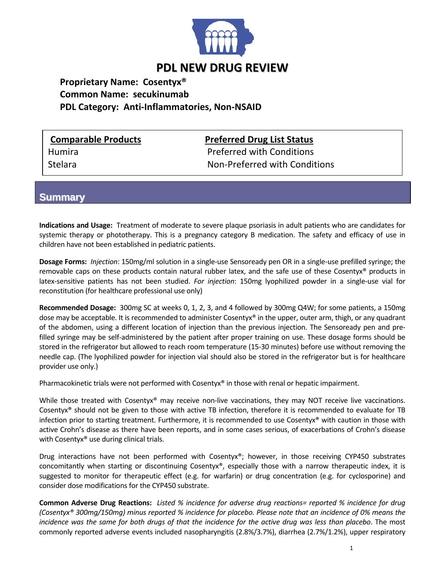

## **PDL NEW DRUG REVIEW**

**Proprietary Name: Cosentyx® Common Name: secukinumab PDL Category: Anti‐Inflammatories, Non‐NSAID**

**Comparable Products Preferred Drug List Status**

Humira Preferred with Conditions Stelara Non‐Preferred with Conditions

**Summary**

**Indications and Usage:** Treatment of moderate to severe plaque psoriasis in adult patients who are candidates for systemic therapy or phototherapy. This is a pregnancy category B medication. The safety and efficacy of use in children have not been established in pediatric patients.

**Dosage Forms:** *Injection*: 150mg/ml solution in a single‐use Sensoready pen OR in a single‐use prefilled syringe; the removable caps on these products contain natural rubber latex, and the safe use of these Cosentyx® products in latex‐sensitive patients has not been studied. *For injection*: 150mg lyophilized powder in a single‐use vial for reconstitution (for healthcare professional use only)

**Recommended Dosage:** 300mg SC at weeks 0, 1, 2, 3, and 4 followed by 300mg Q4W; for some patients, a 150mg dose may be acceptable. It is recommended to administer Cosentyx® in the upper, outer arm, thigh, or any quadrant of the abdomen, using a different location of injection than the previous injection. The Sensoready pen and pre‐ filled syringe may be self‐administered by the patient after proper training on use. These dosage forms should be stored in the refrigerator but allowed to reach room temperature (15‐30 minutes) before use without removing the needle cap. (The lyophilized powder for injection vial should also be stored in the refrigerator but is for healthcare provider use only.)

Pharmacokinetic trials were not performed with Cosentyx® in those with renal or hepatic impairment.

While those treated with Cosentyx<sup>®</sup> may receive non-live vaccinations, they may NOT receive live vaccinations. Cosentyx® should not be given to those with active TB infection, therefore it is recommended to evaluate for TB infection prior to starting treatment. Furthermore, it is recommended to use Cosentyx® with caution in those with active Crohn's disease as there have been reports, and in some cases serious, of exacerbations of Crohn's disease with Cosentyx<sup>®</sup> use during clinical trials.

Drug interactions have not been performed with Cosentyx®; however, in those receiving CYP450 substrates concomitantly when starting or discontinuing Cosentyx®, especially those with a narrow therapeutic index, it is suggested to monitor for therapeutic effect (e.g. for warfarin) or drug concentration (e.g. for cyclosporine) and consider dose modifications for the CYP450 substrate.

Common Adverse Drug Reactions: Listed % incidence for adverse drug reactions= reported % incidence for drug (Cosentyx® 300mg/150mg) minus reported % incidence for placebo. Please note that an incidence of 0% means the incidence was the same for both drugs of that the incidence for the active drug was less than placebo. The most commonly reported adverse events included nasopharyngitis (2.8%/3.7%), diarrhea (2.7%/1.2%), upper respiratory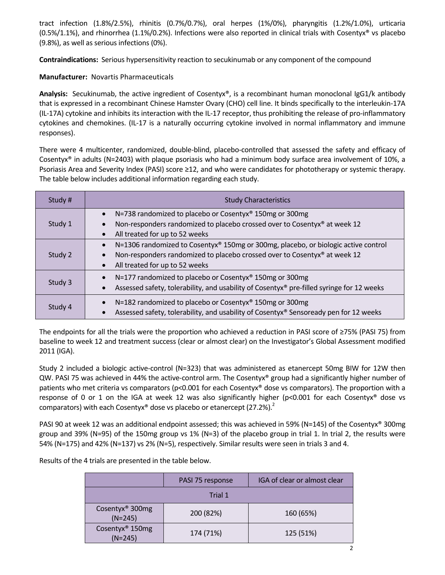tract infection (1.8%/2.5%), rhinitis (0.7%/0.7%), oral herpes (1%/0%), pharyngitis (1.2%/1.0%), urticaria  $(0.5\%/1.1\%)$ , and rhinorrhea  $(1.1\%/0.2\%)$ . Infections were also reported in clinical trials with Cosentyx<sup>®</sup> vs placebo (9.8%), as well as serious infections (0%).

**Contraindications:** Serious hypersensitivity reaction to secukinumab or any component of the compound

## **Manufacturer:** Novartis Pharmaceuticals

Analysis: Secukinumab, the active ingredient of Cosentyx<sup>®</sup>, is a recombinant human monoclonal IgG1/k antibody that is expressed in a recombinant Chinese Hamster Ovary (CHO) cell line. It binds specifically to the interleukin‐17A (IL‐17A) cytokine and inhibits its interaction with the IL‐17 receptor, thus prohibiting the release of pro‐inflammatory cytokines and chemokines. (IL‐17 is a naturally occurring cytokine involved in normal inflammatory and immune responses).

There were 4 multicenter, randomized, double‐blind, placebo‐controlled that assessed the safety and efficacy of Cosentyx® in adults (N=2403) with plaque psoriasis who had a minimum body surface area involvement of 10%, a Psoriasis Area and Severity Index (PASI) score ≥12, and who were candidates for phototherapy or systemic therapy. The table below includes additional information regarding each study.

| Study # | <b>Study Characteristics</b>                                                                                                                                                                                   |
|---------|----------------------------------------------------------------------------------------------------------------------------------------------------------------------------------------------------------------|
| Study 1 | N=738 randomized to placebo or Cosentyx® 150mg or 300mg<br>$\bullet$<br>Non-responders randomized to placebo crossed over to Cosentyx® at week 12<br>All treated for up to 52 weeks                            |
| Study 2 | N=1306 randomized to Cosentyx® 150mg or 300mg, placebo, or biologic active control<br>$\bullet$<br>Non-responders randomized to placebo crossed over to Cosentyx® at week 12<br>All treated for up to 52 weeks |
| Study 3 | N=177 randomized to placebo or Cosentyx <sup>®</sup> 150mg or 300mg<br>Assessed safety, tolerability, and usability of Cosentyx® pre-filled syringe for 12 weeks                                               |
| Study 4 | N=182 randomized to placebo or Cosentyx® 150mg or 300mg<br>Assessed safety, tolerability, and usability of Cosentyx® Sensoready pen for 12 weeks                                                               |

The endpoints for all the trials were the proportion who achieved a reduction in PASI score of ≥75% (PASI 75) from baseline to week 12 and treatment success (clear or almost clear) on the Investigator's Global Assessment modified 2011 (IGA).

Study 2 included a biologic active‐control (N=323) that was administered as etanercept 50mg BIW for 12W then QW. PASI 75 was achieved in 44% the active-control arm. The Cosentyx® group had a significantly higher number of patients who met criteria vs comparators (p<0.001 for each Cosentyx® dose vs comparators). The proportion with a response of 0 or 1 on the IGA at week 12 was also significantly higher (p<0.001 for each Cosentyx® dose vs comparators) with each Cosentyx<sup>®</sup> dose vs placebo or etanercept (27.2%).<sup>2</sup>

PASI 90 at week 12 was an additional endpoint assessed; this was achieved in 59% (N=145) of the Cosentyx® 300mg group and 39% (N=95) of the 150mg group vs 1% (N=3) of the placebo group in trial 1. In trial 2, the results were 54% (N=175) and 42% (N=137) vs 2% (N=5), respectively. Similar results were seen in trials 3 and 4.

Results of the 4 trials are presented in the table below.

|                                          | PASI 75 response | IGA of clear or almost clear |  |
|------------------------------------------|------------------|------------------------------|--|
| Trial 1                                  |                  |                              |  |
| Cosentyx <sup>®</sup> 300mg<br>$(N=245)$ | 200 (82%)        | 160 (65%)                    |  |
| Cosentyx <sup>®</sup> 150mg<br>$(N=245)$ | 174 (71%)        | 125 (51%)                    |  |